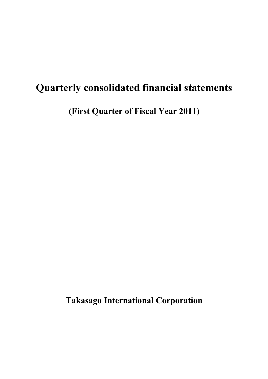# **Quarterly consolidated financial statements**

**(First Quarter of Fiscal Year 2011)**

**Takasago International Corporation**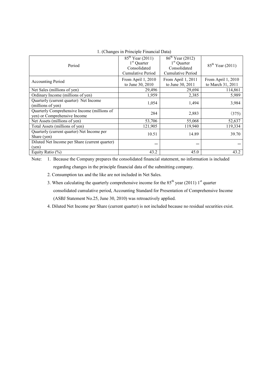| Period                                                                      | $85^{th}$ Year (2011)<br>$86^{\text{th}}$ Year (2012)<br>$1st$ Quarter<br>$1st$ Quarter<br>Consolidated<br>Consolidated<br>Cumulative Period<br>Cumulative Period |                                        | $85^{th}$ Year (2011)                   |
|-----------------------------------------------------------------------------|-------------------------------------------------------------------------------------------------------------------------------------------------------------------|----------------------------------------|-----------------------------------------|
| <b>Accounting Period</b>                                                    | From April 1, 2010<br>to June 30, 2010                                                                                                                            | From April 1, 2011<br>to June 30, 2011 | From April 1, 2010<br>to March 31, 2011 |
| Net Sales (millions of yen)                                                 | 29,496                                                                                                                                                            | 29,694                                 | 114,861                                 |
| Ordinary Income (millions of yen)                                           | 1,959                                                                                                                                                             | 2,385                                  | 5,989                                   |
| Quarterly (current quarter) Net Income<br>(millions of yen)                 | 1,054                                                                                                                                                             | 1,494                                  | 3,984                                   |
| Quarterly Comprehensive Income (millions of<br>yen) or Comprehensive Income | 284                                                                                                                                                               | 2,883                                  | (375)                                   |
| Net Assets (millions of yen)                                                | 53,706                                                                                                                                                            | 55,068                                 | 52,637                                  |
| Total Assets (millions of yen)                                              | 121,905                                                                                                                                                           | 119,940                                | 119,334                                 |
| Quarterly (current quarter) Net Income per<br>Share (yen)                   | 10.51                                                                                                                                                             | 14.89                                  | 39.70                                   |
| Diluted Net Income per Share (current quarter)<br>(ven)                     |                                                                                                                                                                   |                                        |                                         |
| Equity Ratio (%)                                                            | 43.2                                                                                                                                                              | 45.0                                   | 43.2                                    |

## 1. (Changes in Principle Financial Data)

Note: 1. Because the Company prepares the consolidated financial statement, no information is included regarding changes in the principle financial data of the submitting company.

2. Consumption tax and the like are not included in Net Sales.

3. When calculating the quarterly comprehensive income for the  $85<sup>th</sup>$  year (2011) 1<sup>st</sup> quarter consolidated cumulative period, Accounting Standard for Presentation of Comprehensive Income (ASBJ Statement No.25, June 30, 2010) was retroactively applied.

4. Diluted Net Income per Share (current quarter) is not included because no residual securities exist.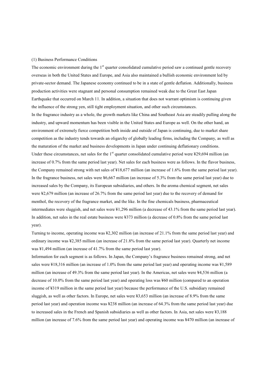#### (1) Business Performance Conditions

The economic environment during the 1<sup>st</sup> quarter consolidated cumulative period saw a continued gentle recovery overseas in both the United States and Europe, and Asia also maintained a bullish economic environment led by private-sector demand. The Japanese economy continued to be in a state of gentle deflation. Additionally, business production activities were stagnant and personal consumption remained weak due to the Great East Japan Earthquake that occurred on March 11. In addition, a situation that does not warrant optimism is continuing given the influence of the strong yen, still tight employment situation, and other such circumstances.

In the fragrance industry as a whole, the growth markets like China and Southeast Asia are steadily pulling along the industry, and upward momentum has been visible in the United States and Europe as well. On the other hand, an environment of extremely fierce competition both inside and outside of Japan is continuing, due to market share competition as the industry tends towards an oligarchy of globally leading firms, including the Company, as well as the maturation of the market and business developments in Japan under continuing deflationary conditions. Under these circumstances, net sales for the  $1<sup>st</sup>$  quarter consolidated cumulative period were ¥29,694 million (an increase of 0.7% from the same period last year). Net sales for each business were as follows. In the flavor business, the Company remained strong with net sales of ¥18,677 million (an increase of 1.6% from the same period last year). In the fragrance business, net sales were ¥6,667 million (an increase of 5.3% from the same period last year) due to increased sales by the Company, its European subsidiaries, and others. In the aroma chemical segment, net sales were ¥2,679 million (an increase of 26.7% from the same period last year) due to the recovery of demand for menthol, the recovery of the fragrance market, and the like. In the fine chemicals business, pharmaceutical intermediates were sluggish, and net sales were ¥1,296 million (a decrease of 43.1% from the same period last year). In addition, net sales in the real estate business were ¥373 million (a decrease of 0.8% from the same period last year).

Turning to income, operating income was ¥2,302 million (an increase of 21.1% from the same period last year) and ordinary income was ¥2,385 million (an increase of 21.8% from the same period last year). Quarterly net income was ¥1,494 million (an increase of 41.7% from the same period last year).

Information for each segment is as follows. In Japan, the Company's fragrance business remained strong, and net sales were ¥18,316 million (an increase of 1.0% from the same period last year) and operating income was ¥1,589 million (an increase of 49.3% from the same period last year). In the Americas, net sales were ¥4,536 million (a decrease of 10.0% from the same period last year) and operating loss was ¥60 million (compared to an operation income of ¥319 million in the same period last year) because the performance of the U.S. subsidiary remained sluggish, as well as other factors. In Europe, net sales were ¥3,653 million (an increase of 8.9% from the same period last year) and operation income was ¥238 million (an increase of 64.3% from the same period last year) due to increased sales in the French and Spanish subsidiaries as well as other factors. In Asia, net sales were ¥3,188 million (an increase of 7.6% from the same period last year) and operating income was ¥470 million (an increase of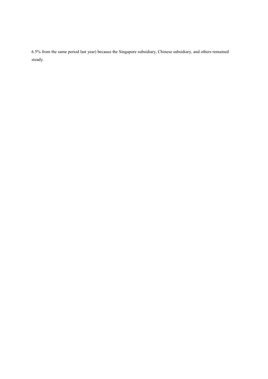6.5% from the same period last year) because the Singapore subsidiary, Chinese subsidiary, and others remained steady.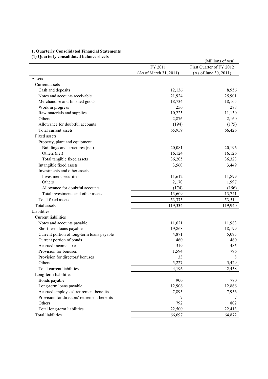# **1. Quarterly Consolidated Financial Statements**

# **(1) Quarterly consolidated balance sheets**

|                                              |                        | (Millions of yen)        |
|----------------------------------------------|------------------------|--------------------------|
|                                              | FY 2011                | First Quarter of FY 2012 |
|                                              | (As of March 31, 2011) | (As of June 30, 2011)    |
| Assets                                       |                        |                          |
| Current assets                               |                        |                          |
| Cash and deposits                            | 12,136                 | 8,956                    |
| Notes and accounts receivable                | 21,924                 | 25,901                   |
| Merchandise and finished goods               | 18,734                 | 18,165                   |
| Work in progress                             | 256                    | 288                      |
| Raw materials and supplies                   | 10,225                 | 11,130                   |
| Others                                       | 2,876                  | 2,160                    |
| Allowance for doubtful accounts              | (194)                  | (175)                    |
| Total current assets                         | 65,959                 | 66,426                   |
| Fixed assets                                 |                        |                          |
| Property, plant and equipment                |                        |                          |
| Buildings and structures (net)               | 20,081                 | 20,196                   |
| Others (net)                                 | 16,124                 | 16,126                   |
| Total tangible fixed assets                  | 36,205                 | 36,323                   |
| Intangible fixed assets                      | 3,560                  | 3,449                    |
| Investments and other assets                 |                        |                          |
| Investment securities                        | 11,612                 | 11,899                   |
| Others                                       | 2,170                  | 1,997                    |
| Allowance for doubtful accounts              | (174)                  | (156)                    |
| Total investments and other assets           | 13,609                 | 13,741                   |
| Total fixed assets                           | 53,375                 | 53,514                   |
| Total assets                                 | 119,334                | 119,940                  |
| Liabilities                                  |                        |                          |
| Current liabilities                          |                        |                          |
| Notes and accounts payable                   | 11,621                 | 11,983                   |
| Short-term loans payable                     | 19,868                 | 18,199                   |
| Current portion of long-term loans payable   | 4,871                  | 5,095                    |
| Current portion of bonds                     | 460                    | 460                      |
| Accrued income taxes                         | 519                    | 485                      |
| Provision for bonuses                        | 1,594                  | 796                      |
| Provision for directors' bonuses             | 33                     | 8                        |
| Others                                       | 5,227                  | 5,429                    |
| Total current liabilities                    | 44,196                 | 42,458                   |
| Long-term liabilities                        |                        |                          |
| Bonds payable                                | 900                    | 780                      |
| Long-term loans payable                      | 12,906                 | 12,866                   |
| Accrued employees' retirement benefits       | 7,895                  | 7,956                    |
| Provision for directors' retirement benefits | 7                      | 7                        |
| Others                                       | 792                    | 802                      |
| Total long-term liabilities                  | 22,500                 | 22,413                   |
| <b>Total liabilities</b>                     | 66,697                 | 64,872                   |
|                                              |                        |                          |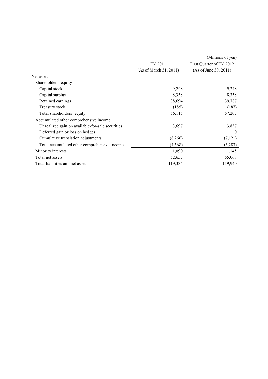|                                                  |                        | (Millions of yen)        |
|--------------------------------------------------|------------------------|--------------------------|
|                                                  | FY 2011                | First Quarter of FY 2012 |
|                                                  | (As of March 31, 2011) | (As of June 30, 2011)    |
| Net assets                                       |                        |                          |
| Shareholders' equity                             |                        |                          |
| Capital stock                                    | 9,248                  | 9,248                    |
| Capital surplus                                  | 8,358                  | 8,358                    |
| Retained earnings                                | 38,694                 | 39,787                   |
| Treasury stock                                   | (185)                  | (187)                    |
| Total shareholders' equity                       | 56,115                 | 57,207                   |
| Accumulated other comprehensive income           |                        |                          |
| Unrealized gain on available-for-sale securities | 3,697                  | 3,837                    |
| Deferred gain or loss on hedges                  |                        | $\theta$                 |
| Cumulative translation adjustments               | (8,266)                | (7,121)                  |
| Total accumulated other comprehensive income     | (4, 568)               | (3,283)                  |
| Minority interests                               | 1,090                  | 1,145                    |
| Total net assets                                 | 52,637                 | 55,068                   |
| Total liabilities and net assets                 | 119,334                | 119,940                  |
|                                                  |                        |                          |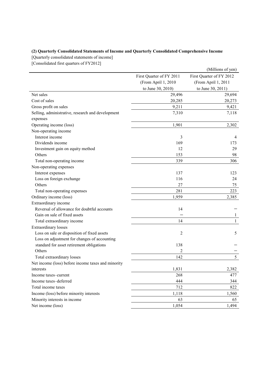# **(2) Quarterly Consolidated Statements of Income and Quarterly Consolidated Comprehensive Income**

[Quarterly consolidated statements of income]

[Consolidated first quarters of FY2012]

|                                                    |                          | (Millions of yen)        |
|----------------------------------------------------|--------------------------|--------------------------|
|                                                    | First Quarter of FY 2011 | First Quarter of FY 2012 |
|                                                    | (From April 1, 2010      | (From April 1, 2011      |
|                                                    | to June 30, 2010)        | to June 30, 2011)        |
| Net sales                                          | 29,496                   | 29,694                   |
| Cost of sales                                      | 20,285                   | 20,273                   |
| Gross profit on sales                              | 9,211                    | 9,421                    |
| Selling, administrative, research and development  | 7,310                    | 7,118                    |
| expenses                                           |                          |                          |
| Operating income (loss)                            | 1,901                    | 2,302                    |
| Non-operating income                               |                          |                          |
| Interest income                                    | 3                        | 4                        |
| Dividends income                                   | 169                      | 173                      |
| Investment gain on equity method                   | 12                       | 29                       |
| Others                                             | 153                      | 98                       |
| Total non-operating income                         | 339                      | 306                      |
| Non-operating expenses                             |                          |                          |
| Interest expenses                                  | 137                      | 123                      |
| Loss on foreign exchange                           | 116                      | 24                       |
| Others                                             | 27                       | 75                       |
| Total non-operating expenses                       | 281                      | 223                      |
| Ordinary income (loss)                             | 1,959                    | 2,385                    |
| Extraordinary income                               |                          |                          |
| Reversal of allowance for doubtful accounts        | 14                       |                          |
| Gain on sale of fixed assets                       |                          | $\mathbf{1}$             |
| Total extraordinary income                         | 14                       | $\mathbf{1}$             |
| <b>Extraordinary losses</b>                        |                          |                          |
| Loss on sale or disposition of fixed assets        | 2                        | 5                        |
| Loss on adjustment for changes of accounting       |                          |                          |
| standard for asset retirement obligations          | 138                      |                          |
| Others                                             | 2                        |                          |
| Total extraordinary losses                         | 142                      | 5                        |
| Net income (loss) before income taxes and minority |                          |                          |
| interests                                          | 1,831                    | 2,382                    |
| Income taxes-current                               | 268                      | 477                      |
| Income taxes-deferred                              | 444                      | 344                      |
| Total income taxes                                 | 712                      | 822                      |
| Income (loss) before minority interests            | 1,118                    | 1,560                    |
| Minority interests in income                       | 63                       | 65                       |
| Net income (loss)                                  | 1,054                    | 1,494                    |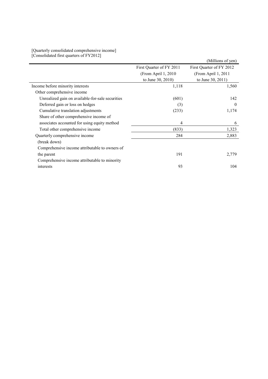### [Quarterly consolidated comprehensive income] [Consolidated first quarters of FY2012]

|                                                  |                          | (Millions of yen)        |
|--------------------------------------------------|--------------------------|--------------------------|
|                                                  | First Quarter of FY 2011 | First Quarter of FY 2012 |
|                                                  | (From April 1, 2010)     | (From April 1, 2011)     |
|                                                  | to June 30, 2010)        | to June 30, 2011)        |
| Income before minority interests                 | 1,118                    | 1,560                    |
| Other comprehensive income                       |                          |                          |
| Unrealized gain on available-for-sale securities | (601)                    | 142                      |
| Deferred gain or loss on hedges                  | (3)                      | $\theta$                 |
| Cumulative translation adjustments               | (233)                    | 1,174                    |
| Share of other comprehensive income of           |                          |                          |
| associates accounted for using equity method     | 4                        | 6                        |
| Total other comprehensive income                 | (833)                    | 1,323                    |
| Quarterly comprehensive income                   | 284                      | 2,883                    |
| (break down)                                     |                          |                          |
| Comprehensive income attributable to owners of   |                          |                          |
| the parent                                       | 191                      | 2,779                    |
| Comprehensive income attributable to minority    |                          |                          |
| interests                                        | 93                       | 104                      |
|                                                  |                          |                          |